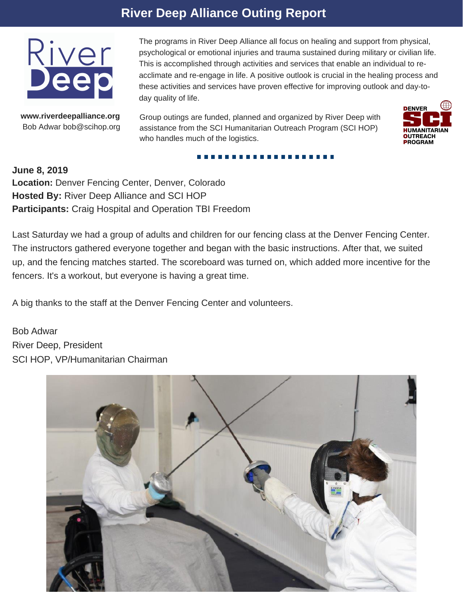## **River Deep Alliance Outing Report**



**www.riverdeepalliance.org** Bob Adwar bob@scihop.org The programs in River Deep Alliance all focus on healing and support from physical, psychological or emotional injuries and trauma sustained during military or civilian life. This is accomplished through activities and services that enable an individual to reacclimate and re-engage in life. A positive outlook is crucial in the healing process and these activities and services have proven effective for improving outlook and day-today quality of life.

Group outings are funded, planned and organized by River Deep with assistance from the SCI Humanitarian Outreach Program (SCI HOP) who handles much of the logistics.

------



**June 8, 2019 Location:** Denver Fencing Center, Denver, Colorado **Hosted By:** River Deep Alliance and SCI HOP **Participants:** Craig Hospital and Operation TBI Freedom

Last Saturday we had a group of adults and children for our fencing class at the Denver Fencing Center. The instructors gathered everyone together and began with the basic instructions. After that, we suited up, and the fencing matches started. The scoreboard was turned on, which added more incentive for the fencers. It's a workout, but everyone is having a great time.

A big thanks to the staff at the Denver Fencing Center and volunteers.

Bob Adwar River Deep, President SCI HOP, VP/Humanitarian Chairman